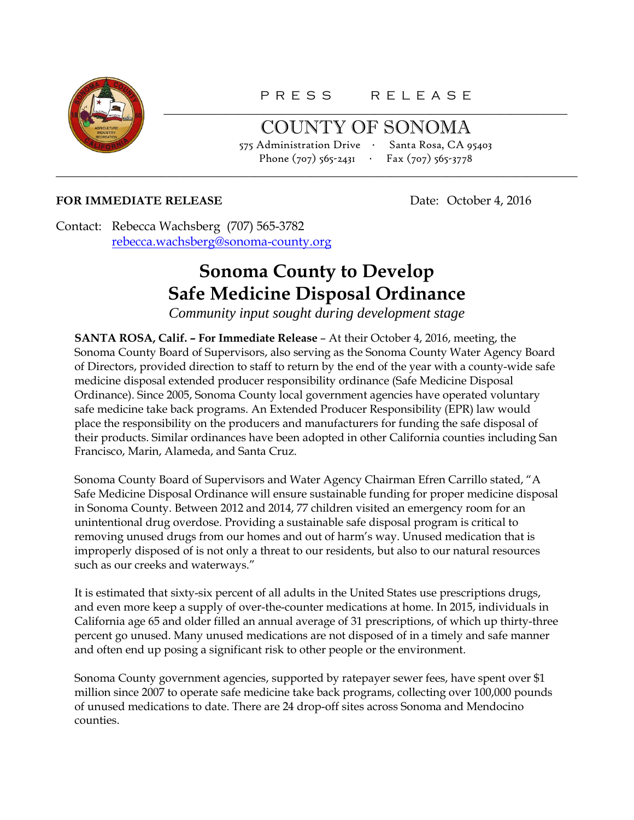

COUNTY OF SONOMA 575 Administration Drive ∙ Santa Rosa, CA 95403 Phone (707) 565-2431 ∙ Fax (707) 565-3778

## **FOR IMMEDIATE RELEASE** Date: October 4, 2016

Contact: Rebecca Wachsberg (707) 565-3782 [rebecca.wachsberg@sonoma-county.org](mailto:rebecca.wachsberg@sonoma-county.org)

## **Sonoma County to Develop Safe Medicine Disposal Ordinance**

\_\_\_\_\_\_\_\_\_\_\_\_\_\_\_\_\_\_\_\_\_\_\_\_\_\_\_\_\_\_\_\_\_\_\_\_\_\_\_\_\_\_\_\_\_\_\_\_\_\_\_\_\_\_\_\_\_\_\_\_\_\_\_\_\_\_\_\_\_\_\_\_\_\_\_\_\_\_\_\_\_\_\_\_

*Community input sought during development stage*

**SANTA ROSA, Calif. – For Immediate Release** – At their October 4, 2016, meeting, the Sonoma County Board of Supervisors, also serving as the Sonoma County Water Agency Board of Directors, provided direction to staff to return by the end of the year with a county-wide safe medicine disposal extended producer responsibility ordinance (Safe Medicine Disposal Ordinance). Since 2005, Sonoma County local government agencies have operated voluntary safe medicine take back programs. An Extended Producer Responsibility (EPR) law would place the responsibility on the producers and manufacturers for funding the safe disposal of their products. Similar ordinances have been adopted in other California counties including San Francisco, Marin, Alameda, and Santa Cruz.

Sonoma County Board of Supervisors and Water Agency Chairman Efren Carrillo stated, "A Safe Medicine Disposal Ordinance will ensure sustainable funding for proper medicine disposal in Sonoma County. Between 2012 and 2014, 77 children visited an emergency room for an unintentional drug overdose. Providing a sustainable safe disposal program is critical to removing unused drugs from our homes and out of harm's way. Unused medication that is improperly disposed of is not only a threat to our residents, but also to our natural resources such as our creeks and waterways."

It is estimated that sixty-six percent of all adults in the United States use prescriptions drugs, and even more keep a supply of over-the-counter medications at home. In 2015, individuals in California age 65 and older filled an annual average of 31 prescriptions, of which up thirty-three percent go unused. Many unused medications are not disposed of in a timely and safe manner and often end up posing a significant risk to other people or the environment.

Sonoma County government agencies, supported by ratepayer sewer fees, have spent over \$1 million since 2007 to operate safe medicine take back programs, collecting over 100,000 pounds of unused medications to date. There are 24 drop-off sites across Sonoma and Mendocino counties.